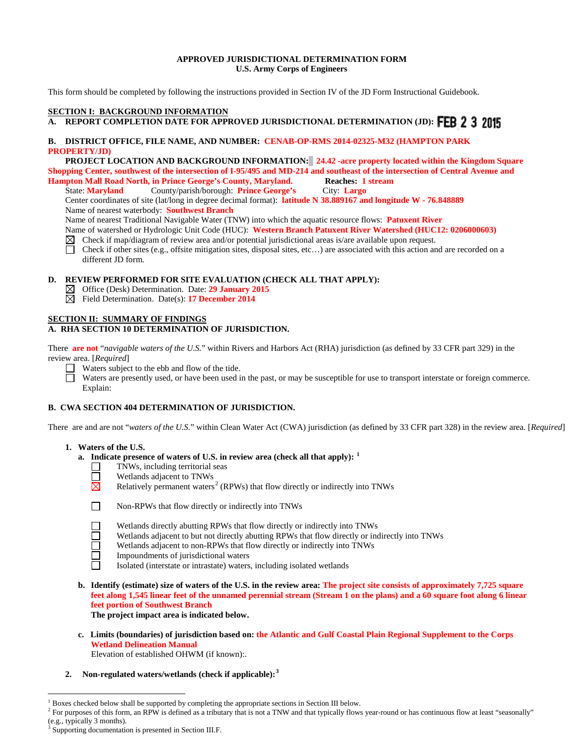### **APPROVED JURISDICTIONAL DETERMINATION FORM U.S. Army Corps of Engineers**

This form should be completed by following the instructions provided in Section IV of the JD Form Instructional Guidebook.

# **SECTION I: BACKGROUND INFORMATION**

# **A. REPORT COMPLETION DATE FOR APPROVED JURISDICTIONAL DETERMINATION (JD): FEB 2 3 2015**

### **B. DISTRICT OFFICE, FILE NAME, AND NUMBER: CENAB-OP-RMS 2014-02325-M32 (HAMPTON PARK PROPERTY/JD)**

 **PROJECT LOCATION AND BACKGROUND INFORMATION: 24.42 -acre property located within the Kingdom Square Shopping Center, southwest of the intersection of I-95/495 and MD-214 and southeast of the intersection of Central Avenue and Hampton Mall Road North, in Prince George's County, Maryland. Reaches: 1 stream**

State: **Maryland** County/parish/borough: **Prince George's** City: **Largo** Center coordinates of site (lat/long in degree decimal format): **latitude N 38.889167 and longitude W - 76.848889** Name of nearest waterbody: **Southwest Branch**

Name of nearest Traditional Navigable Water (TNW) into which the aquatic resource flows: **Patuxent River**

Name of watershed or Hydrologic Unit Code (HUC): **Western Branch Patuxent River Watershed (HUC12: 0206000603)**<br>⊠ Check if map/diagram of review area and/or potential jurisdictional areas is/are available upon request.

- Check if map/diagram of review area and/or potential jurisdictional areas is/are available upon request.
- Check if other sites (e.g., offsite mitigation sites, disposal sites, etc…) are associated with this action and are recorded on a П different JD form.

#### **D. REVIEW PERFORMED FOR SITE EVALUATION (CHECK ALL THAT APPLY):**

- Office (Desk) Determination. Date: **29 January 2015**
- Field Determination. Date(s): **17 December 2014**

# **SECTION II: SUMMARY OF FINDINGS**

# **A. RHA SECTION 10 DETERMINATION OF JURISDICTION.**

There **are not** "*navigable waters of the U.S.*" within Rivers and Harbors Act (RHA) jurisdiction (as defined by 33 CFR part 329) in the review area. [*Required*]

Waters subject to the ebb and flow of the tide.

 $\Box$ Waters are presently used, or have been used in the past, or may be susceptible for use to transport interstate or foreign commerce. Explain:

# **B. CWA SECTION 404 DETERMINATION OF JURISDICTION.**

There are and are not "*waters of the U.S.*" within Clean Water Act (CWA) jurisdiction (as defined by 33 CFR part 328) in the review area. [*Required*]

#### **1. Waters of the U.S.**

- **a. Indicate presence of waters of U.S. in review area (check all that apply): [1](#page-0-0)**
	- □ TNWs, including territorial seas<br>□ Wetlands adjacent to TNWs
	- $\Box$  **Wetlands adjacent to TNWs**<br>**Relatively permanent waters**
- $\times$  Relatively permanent waters<sup>[2](#page-0-1)</sup> (RPWs) that flow directly or indirectly into TNWs



 $\overline{a}$ 

 **1** Non-RPWs that flow directly or indirectly into TNWs

- Wetlands directly abutting RPWs that flow directly or indirectly into TNWs
- Wetlands adjacent to but not directly abutting RPWs that flow directly or indirectly into TNWs
- Wetlands adjacent to non-RPWs that flow directly or indirectly into TNWs
- **1** Impoundments of jurisdictional waters<br> **1** Isolated (interstate or intrastate) waters
	- Isolated (interstate or intrastate) waters, including isolated wetlands
- **b. Identify (estimate) size of waters of the U.S. in the review area: The project site consists of approximately 7,725 square feet along 1,545 linear feet of the unnamed perennial stream (Stream 1 on the plans) and a 60 square foot along 6 linear feet portion of Southwest Branch**

 **The project impact area is indicated below.**

**c. Limits (boundaries) of jurisdiction based on: the Atlantic and Gulf Coastal Plain Regional Supplement to the Corps Wetland Delineation Manual**

Elevation of established OHWM (if known):.

#### **2. Non-regulated waters/wetlands (check if applicable):[3](#page-0-2)**

<sup>1</sup> Boxes checked below shall be supported by completing the appropriate sections in Section III below.

<span id="page-0-1"></span><span id="page-0-0"></span><sup>&</sup>lt;sup>2</sup> For purposes of this form, an RPW is defined as a tributary that is not a TNW and that typically flows year-round or has continuous flow at least "seasonally" (e.g., typically 3 months).

<span id="page-0-2"></span>Supporting documentation is presented in Section III.F.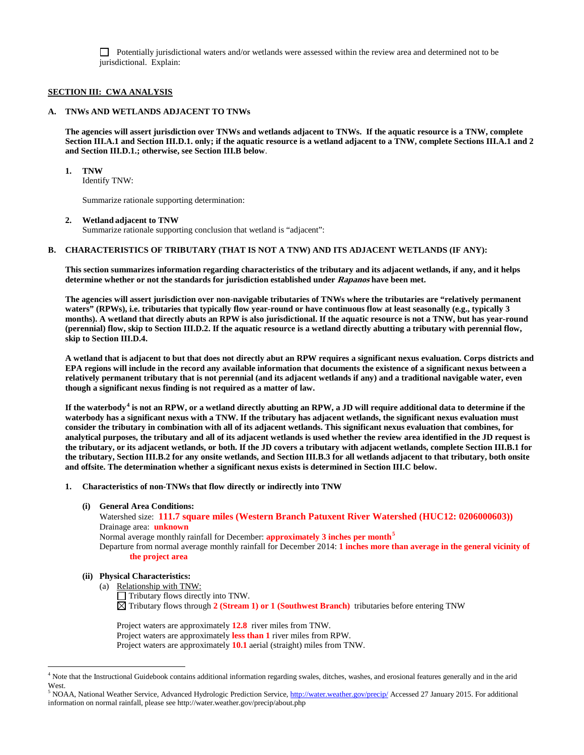Potentially jurisdictional waters and/or wetlands were assessed within the review area and determined not to be jurisdictional. Explain:

#### **SECTION III: CWA ANALYSIS**

#### **A. TNWs AND WETLANDS ADJACENT TO TNWs**

**The agencies will assert jurisdiction over TNWs and wetlands adjacent to TNWs. If the aquatic resource is a TNW, complete Section III.A.1 and Section III.D.1. only; if the aquatic resource is a wetland adjacent to a TNW, complete Sections III.A.1 and 2 and Section III.D.1.; otherwise, see Section III.B below**.

#### **1. TNW**

Identify TNW:

Summarize rationale supporting determination:

### **2. Wetland adjacent to TNW**

Summarize rationale supporting conclusion that wetland is "adjacent":

# **B. CHARACTERISTICS OF TRIBUTARY (THAT IS NOT A TNW) AND ITS ADJACENT WETLANDS (IF ANY):**

**This section summarizes information regarding characteristics of the tributary and its adjacent wetlands, if any, and it helps determine whether or not the standards for jurisdiction established under Rapanos have been met.** 

**The agencies will assert jurisdiction over non-navigable tributaries of TNWs where the tributaries are "relatively permanent waters" (RPWs), i.e. tributaries that typically flow year-round or have continuous flow at least seasonally (e.g., typically 3 months). A wetland that directly abuts an RPW is also jurisdictional. If the aquatic resource is not a TNW, but has year-round (perennial) flow, skip to Section III.D.2. If the aquatic resource is a wetland directly abutting a tributary with perennial flow, skip to Section III.D.4.**

**A wetland that is adjacent to but that does not directly abut an RPW requires a significant nexus evaluation. Corps districts and EPA regions will include in the record any available information that documents the existence of a significant nexus between a relatively permanent tributary that is not perennial (and its adjacent wetlands if any) and a traditional navigable water, even though a significant nexus finding is not required as a matter of law.**

**If the waterbody[4](#page-1-0) is not an RPW, or a wetland directly abutting an RPW, a JD will require additional data to determine if the waterbody has a significant nexus with a TNW. If the tributary has adjacent wetlands, the significant nexus evaluation must consider the tributary in combination with all of its adjacent wetlands. This significant nexus evaluation that combines, for analytical purposes, the tributary and all of its adjacent wetlands is used whether the review area identified in the JD request is the tributary, or its adjacent wetlands, or both. If the JD covers a tributary with adjacent wetlands, complete Section III.B.1 for the tributary, Section III.B.2 for any onsite wetlands, and Section III.B.3 for all wetlands adjacent to that tributary, both onsite and offsite. The determination whether a significant nexus exists is determined in Section III.C below.**

- **1. Characteristics of non-TNWs that flow directly or indirectly into TNW**
	- **(i) General Area Conditions:**

 Watershed size: **111.7 square miles (Western Branch Patuxent River Watershed (HUC12: 0206000603))** Drainage area: **unknown**

Normal average monthly rainfall for December: **approximately 3 inches per month[5](#page-1-1)**

Departure from normal average monthly rainfall for December 2014: **1 inches more than average in the general vicinity of the project area**

#### **(ii) Physical Characteristics:**

(a) Relationship with TNW:

 $\Box$  Tributary flows directly into TNW.

Tributary flows through **2 (Stream 1) or 1 (Southwest Branch)** tributaries before entering TNW

Project waters are approximately **12.8** river miles from TNW. Project waters are approximately **less than 1** river miles from RPW. Project waters are approximately **10.1** aerial (straight) miles from TNW.

<span id="page-1-0"></span><sup>&</sup>lt;sup>4</sup> Note that the Instructional Guidebook contains additional information regarding swales, ditches, washes, and erosional features generally and in the arid **West** 

<span id="page-1-1"></span><sup>5</sup> NOAA, National Weather Service, Advanced Hydrologic Prediction Service[, http://water.weather.gov/precip/](http://water.weather.gov/precip/) Accessed 27 January 2015. For additional information on normal rainfall, please see http://water.weather.gov/precip/about.php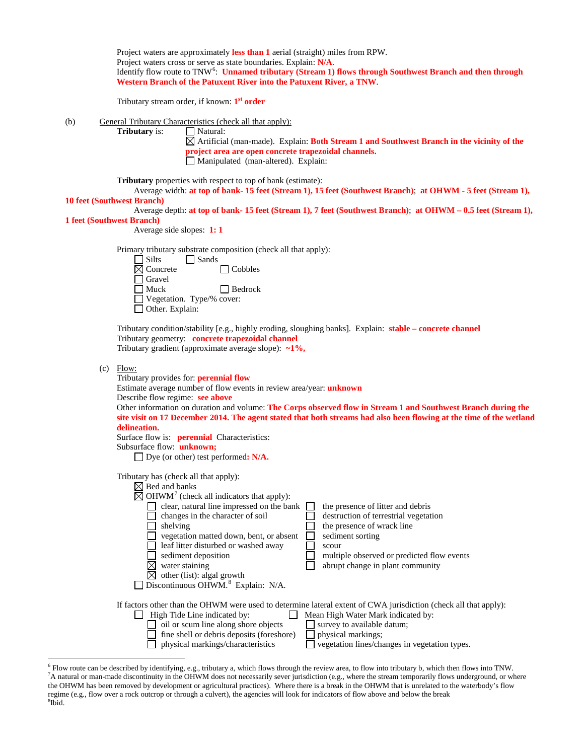|                                  | Project waters are approximately less than 1 aerial (straight) miles from RPW.<br>Project waters cross or serve as state boundaries. Explain: N/A.<br>Identify flow route to TNW <sup>6</sup> : Unnamed tributary (Stream 1) flows through Southwest Branch and then through<br>Western Branch of the Patuxent River into the Patuxent River, a TNW.<br>Tributary stream order, if known: 1 <sup>st</sup> order                                                                                                                                                                                                                                                            |
|----------------------------------|----------------------------------------------------------------------------------------------------------------------------------------------------------------------------------------------------------------------------------------------------------------------------------------------------------------------------------------------------------------------------------------------------------------------------------------------------------------------------------------------------------------------------------------------------------------------------------------------------------------------------------------------------------------------------|
| (b)                              | General Tributary Characteristics (check all that apply):<br>Tributary is:<br>$\Box$ Natural:<br>$\boxtimes$ Artificial (man-made). Explain: <b>Both Stream 1 and Southwest Branch in the vicinity of the</b><br>project area are open concrete trapezoidal channels.<br>Manipulated (man-altered). Explain:                                                                                                                                                                                                                                                                                                                                                               |
| <b>1 feet (Southwest Branch)</b> | <b>Tributary</b> properties with respect to top of bank (estimate):<br>Average width: at top of bank- 15 feet (Stream 1), 15 feet (Southwest Branch); at OHWM - 5 feet (Stream 1),<br><b>10 feet (Southwest Branch)</b><br>Average depth: at top of bank- 15 feet (Stream 1), 7 feet (Southwest Branch); at OHWM - 0.5 feet (Stream 1),<br>Average side slopes: $1:1$                                                                                                                                                                                                                                                                                                      |
|                                  | Primary tributary substrate composition (check all that apply):<br>$\Box$ Silts<br>$\Box$ Sands<br>$\boxtimes$ Concrete<br>$\Box$ Cobbles<br>Gravel<br>$\blacksquare$ Muck<br>$\Box$ Bedrock<br>Vegetation. Type/% cover:<br>$\Box$ Other. Explain:<br>Tributary condition/stability [e.g., highly eroding, sloughing banks]. Explain: stable – concrete channel                                                                                                                                                                                                                                                                                                           |
|                                  | Tributary geometry: concrete trapezoidal channel<br>Tributary gradient (approximate average slope): $\sim 1\%$ ,<br>$(c)$ Flow:                                                                                                                                                                                                                                                                                                                                                                                                                                                                                                                                            |
|                                  | Tributary provides for: <b>perennial flow</b><br>Estimate average number of flow events in review area/year: <i>unknown</i><br>Describe flow regime: see above<br>Other information on duration and volume: The Corps observed flow in Stream 1 and Southwest Branch during the<br>site visit on 17 December 2014. The agent stated that both streams had also been flowing at the time of the wetland<br>delineation.<br>Surface flow is: <b>perennial</b> Characteristics:<br>Subsurface flow: unknown;<br>□ Dye (or other) test performed: N/A.                                                                                                                         |
|                                  | Tributary has (check all that apply):<br>$\boxtimes$ Bed and banks<br>$\boxtimes$ OHWM <sup>7</sup> (check all indicators that apply):<br>clear, natural line impressed on the bank<br>the presence of litter and debris<br>changes in the character of soil<br>destruction of terrestrial vegetation<br>the presence of wrack line<br>shelving<br>vegetation matted down, bent, or absent<br>sediment sorting<br>leaf litter disturbed or washed away<br>scour<br>sediment deposition<br>multiple observed or predicted flow events<br>water staining<br>abrupt change in plant community<br>other (list): algal growth<br>Discontinuous OHWM. <sup>8</sup> Explain: N/A. |
|                                  | If factors other than the OHWM were used to determine lateral extent of CWA jurisdiction (check all that apply):<br>High Tide Line indicated by:<br>Mean High Water Mark indicated by:<br>oil or scum line along shore objects<br>survey to available datum;<br>fine shell or debris deposits (foreshore)<br>physical markings;<br>vegetation lines/changes in vegetation types.<br>physical markings/characteristics                                                                                                                                                                                                                                                      |

<span id="page-2-2"></span><span id="page-2-1"></span><span id="page-2-0"></span><sup>&</sup>lt;sup>6</sup> Flow route can be described by identifying, e.g., tributary a, which flows through the review area, to flow into tributary b, which then flows into TNW.<br><sup>7</sup>A natural or man-made discontinuity in the OHWM does not neces the OHWM has been removed by development or agricultural practices). Where there is a break in the OHWM that is unrelated to the waterbody's flow regime (e.g., flow over a rock outcrop or through a culvert), the agencies will look for indicators of flow above and below the break <sup>8</sup>  $8\tilde{I}$ bid.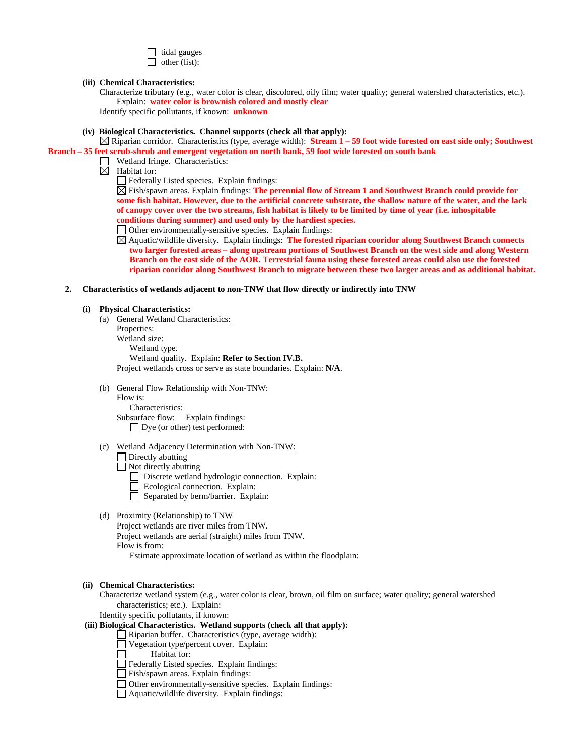| ΙI | tidal gauges  |
|----|---------------|
|    | other (list): |

#### **(iii) Chemical Characteristics:**

Characterize tributary (e.g., water color is clear, discolored, oily film; water quality; general watershed characteristics, etc.). Explain: **water color is brownish colored and mostly clear**

Identify specific pollutants, if known: **unknown**

**(iv) Biological Characteristics. Channel supports (check all that apply):**

Riparian corridor. Characteristics (type, average width): **Stream 1 – 59 foot wide forested on east side only; Southwest Branch – 35 feet scrub-shrub and emergent vegetation on north bank, 59 foot wide forested on south bank**

- Wetland fringe. Characteristics:
- $\overline{\mathbb{N}}$  Habitat for:

Federally Listed species. Explain findings:

Fish/spawn areas. Explain findings: **The perennial flow of Stream 1 and Southwest Branch could provide for some fish habitat. However, due to the artificial concrete substrate, the shallow nature of the water, and the lack of canopy cover over the two streams, fish habitat is likely to be limited by time of year (i.e. inhospitable conditions during summer) and used only by the hardiest species.** 

Other environmentally-sensitive species. Explain findings:

Aquatic/wildlife diversity. Explain findings: **The forested riparian cooridor along Southwest Branch connects two larger forested areas – along upstream portions of Southwest Branch on the west side and along Western Branch on the east side of the AOR. Terrestrial fauna using these forested areas could also use the forested riparian cooridor along Southwest Branch to migrate between these two larger areas and as additional habitat.** 

**2. Characteristics of wetlands adjacent to non-TNW that flow directly or indirectly into TNW**

#### **(i) Physical Characteristics:**

(a) General Wetland Characteristics:

Properties: Wetland size: Wetland type. Wetland quality. Explain: **Refer to Section IV.B.** Project wetlands cross or serve as state boundaries. Explain: **N/A**.

(b) General Flow Relationship with Non-TNW:

Flow is: Characteristics: Subsurface flow:Explain findings: Dye (or other) test performed:

- (c) Wetland Adjacency Determination with Non-TNW:
	- Directly abutting
	- Not directly abutting
		- Discrete wetland hydrologic connection. Explain:
		- Ecological connection. Explain:
		- $\Box$  Separated by berm/barrier. Explain:
- (d) Proximity (Relationship) to TNW

Project wetlands are river miles from TNW. Project wetlands are aerial (straight) miles from TNW. Flow is from:

Estimate approximate location of wetland as within the floodplain:

#### **(ii) Chemical Characteristics:**

Characterize wetland system (e.g., water color is clear, brown, oil film on surface; water quality; general watershed characteristics; etc.). Explain:

Identify specific pollutants, if known:

#### **(iii) Biological Characteristics. Wetland supports (check all that apply):**

Riparian buffer. Characteristics (type, average width):

- Vegetation type/percent cover. Explain:
	- Habitat for:
- Federally Listed species. Explain findings:
- Fish/spawn areas. Explain findings:
- Other environmentally-sensitive species. Explain findings:
- Aquatic/wildlife diversity. Explain findings: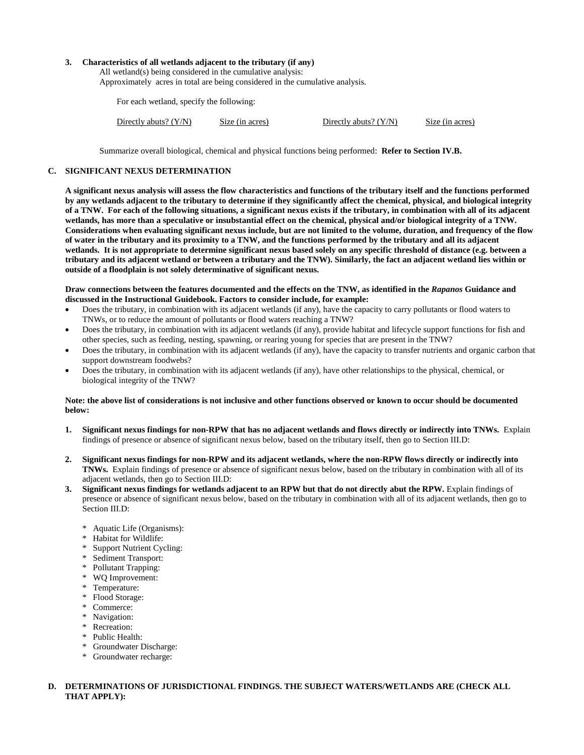#### **3. Characteristics of all wetlands adjacent to the tributary (if any)**

All wetland(s) being considered in the cumulative analysis: Approximately acres in total are being considered in the cumulative analysis.

For each wetland, specify the following:

| Directly abuts? $(Y/N)$<br>Directly abuts? $(Y/N)$ | Size (in acres) | Size (in acres) |
|----------------------------------------------------|-----------------|-----------------|
|----------------------------------------------------|-----------------|-----------------|

Summarize overall biological, chemical and physical functions being performed: **Refer to Section IV.B.**

# **C. SIGNIFICANT NEXUS DETERMINATION**

**A significant nexus analysis will assess the flow characteristics and functions of the tributary itself and the functions performed by any wetlands adjacent to the tributary to determine if they significantly affect the chemical, physical, and biological integrity of a TNW. For each of the following situations, a significant nexus exists if the tributary, in combination with all of its adjacent wetlands, has more than a speculative or insubstantial effect on the chemical, physical and/or biological integrity of a TNW. Considerations when evaluating significant nexus include, but are not limited to the volume, duration, and frequency of the flow of water in the tributary and its proximity to a TNW, and the functions performed by the tributary and all its adjacent wetlands. It is not appropriate to determine significant nexus based solely on any specific threshold of distance (e.g. between a tributary and its adjacent wetland or between a tributary and the TNW). Similarly, the fact an adjacent wetland lies within or outside of a floodplain is not solely determinative of significant nexus.** 

#### **Draw connections between the features documented and the effects on the TNW, as identified in the** *Rapanos* **Guidance and discussed in the Instructional Guidebook. Factors to consider include, for example:**

- Does the tributary, in combination with its adjacent wetlands (if any), have the capacity to carry pollutants or flood waters to TNWs, or to reduce the amount of pollutants or flood waters reaching a TNW?
- Does the tributary, in combination with its adjacent wetlands (if any), provide habitat and lifecycle support functions for fish and other species, such as feeding, nesting, spawning, or rearing young for species that are present in the TNW?
- Does the tributary, in combination with its adjacent wetlands (if any), have the capacity to transfer nutrients and organic carbon that support downstream foodwebs?
- Does the tributary, in combination with its adjacent wetlands (if any), have other relationships to the physical, chemical, or biological integrity of the TNW?

#### **Note: the above list of considerations is not inclusive and other functions observed or known to occur should be documented below:**

- **1. Significant nexus findings for non-RPW that has no adjacent wetlands and flows directly or indirectly into TNWs.** Explain findings of presence or absence of significant nexus below, based on the tributary itself, then go to Section III.D:
- **2. Significant nexus findings for non-RPW and its adjacent wetlands, where the non-RPW flows directly or indirectly into TNWs.** Explain findings of presence or absence of significant nexus below, based on the tributary in combination with all of its adjacent wetlands, then go to Section III.D:
- **3. Significant nexus findings for wetlands adjacent to an RPW but that do not directly abut the RPW.** Explain findings of presence or absence of significant nexus below, based on the tributary in combination with all of its adjacent wetlands, then go to Section III.D:
	- \* Aquatic Life (Organisms):
	- \* Habitat for Wildlife:
	- \* Support Nutrient Cycling:
	- \* Sediment Transport:
	- \* Pollutant Trapping:
	- \* WQ Improvement:
	- \* Temperature:
	- \* Flood Storage:
	- \* Commerce:
	- \* Navigation:
	- \* Recreation:
	- \* Public Health:
	- \* Groundwater Discharge:
	- \* Groundwater recharge:

# **D. DETERMINATIONS OF JURISDICTIONAL FINDINGS. THE SUBJECT WATERS/WETLANDS ARE (CHECK ALL THAT APPLY):**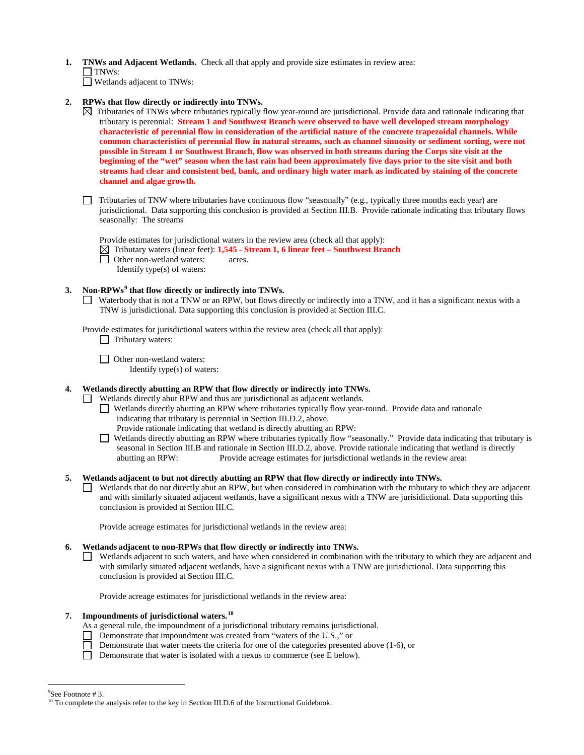- **1. TNWs and Adjacent Wetlands.** Check all that apply and provide size estimates in review area:
- $\Box$  TNWs:

Wetlands adjacent to TNWs:

- **2. RPWs that flow directly or indirectly into TNWs.**
	- $\boxtimes$  Tributaries of TNWs where tributaries typically flow year-round are jurisdictional. Provide data and rationale indicating that tributary is perennial: **Stream 1 and Southwest Branch were observed to have well developed stream morphology characteristic of perennial flow in consideration of the artificial nature of the concrete trapezoidal channels. While common characteristics of perennial flow in natural streams, such as channel sinuosity or sediment sorting, were not possible in Stream 1 or Southwest Branch, flow was observed in both streams during the Corps site visit at the beginning of the "wet" season when the last rain had been approximately five days prior to the site visit and both streams had clear and consistent bed, bank, and ordinary high water mark as indicated by staining of the concrete channel and algae growth.**
	- $\Box$  Tributaries of TNW where tributaries have continuous flow "seasonally" (e.g., typically three months each year) are jurisdictional. Data supporting this conclusion is provided at Section III.B. Provide rationale indicating that tributary flows seasonally: The streams

Provide estimates for jurisdictional waters in the review area (check all that apply):

- Tributary waters (linear feet): **1,545 - Stream 1, 6 linear feet – Southwest Branch**
- **Other non-wetland waters:** acres.
	- Identify type(s) of waters:

# **3. Non-RPWs[9](#page-5-0) that flow directly or indirectly into TNWs.**

Waterbody that is not a TNW or an RPW, but flows directly or indirectly into a TNW, and it has a significant nexus with a TNW is jurisdictional. Data supporting this conclusion is provided at Section III.C.

Provide estimates for jurisdictional waters within the review area (check all that apply):

 $\Box$  Tributary waters:

**D** Other non-wetland waters: Identify type(s) of waters:

**4. Wetlands directly abutting an RPW that flow directly or indirectly into TNWs.** 

- Wetlands directly abut RPW and thus are jurisdictional as adjacent wetlands.
	- Wetlands directly abutting an RPW where tributaries typically flow year-round. Provide data and rationale indicating that tributary is perennial in Section III.D.2, above.
		- Provide rationale indicating that wetland is directly abutting an RPW:
	- Wetlands directly abutting an RPW where tributaries typically flow "seasonally." Provide data indicating that tributary is seasonal in Section III.B and rationale in Section III.D.2, above. Provide rationale indicating that wetland is directly abutting an RPW: Provide acreage estimates for jurisdictional wetlands in the review area:
- **5. Wetlands adjacent to but not directly abutting an RPW that flow directly or indirectly into TNWs.**
	- Wetlands that do not directly abut an RPW, but when considered in combination with the tributary to which they are adjacent and with similarly situated adjacent wetlands, have a significant nexus with a TNW are jurisidictional. Data supporting this conclusion is provided at Section III.C.

Provide acreage estimates for jurisdictional wetlands in the review area:

# **6. Wetlands adjacent to non-RPWs that flow directly or indirectly into TNWs.**

Wetlands adjacent to such waters, and have when considered in combination with the tributary to which they are adjacent and with similarly situated adjacent wetlands, have a significant nexus with a TNW are jurisdictional. Data supporting this conclusion is provided at Section III.C.

Provide acreage estimates for jurisdictional wetlands in the review area:

# **7. Impoundments of jurisdictional waters.[10](#page-5-1)**

- As a general rule, the impoundment of a jurisdictional tributary remains jurisdictional.
- Demonstrate that impoundment was created from "waters of the U.S.," or
- Demonstrate that water meets the criteria for one of the categories presented above  $(1-6)$ , or
- Demonstrate that water is isolated with a nexus to commerce (see E below).

<sup>-&</sup>lt;br>9

<span id="page-5-1"></span><span id="page-5-0"></span>See Footnote # 3.<br><sup>10</sup> To complete the analysis refer to the key in Section III.D.6 of the Instructional Guidebook.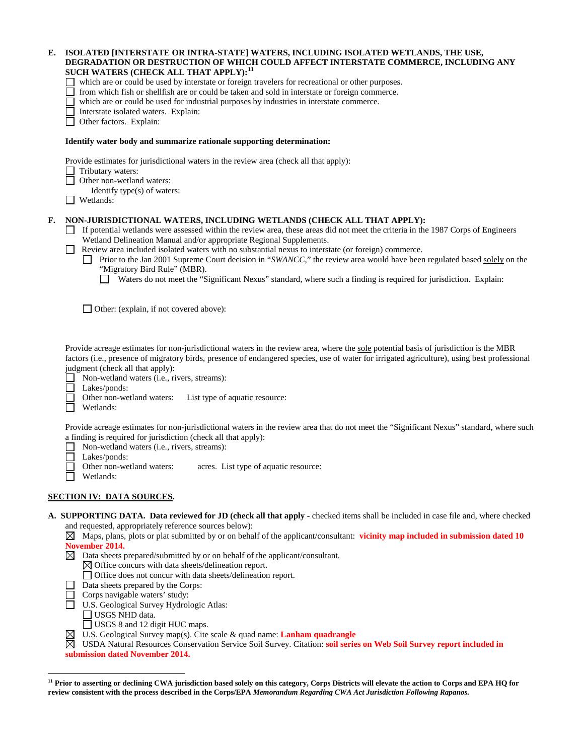|    | DEGRADATION OR DESTRUCTION OF WHICH COULD AFFECT INTERSTATE COMMERCE, INCLUDING ANY<br>SUCH WATERS (CHECK ALL THAT APPLY): <sup>11</sup><br>which are or could be used by interstate or foreign travelers for recreational or other purposes.<br>from which fish or shellfish are or could be taken and sold in interstate or foreign commerce.<br>which are or could be used for industrial purposes by industries in interstate commerce.<br>Interstate isolated waters. Explain:<br>Other factors. Explain:                                                                                                                                                         |
|----|------------------------------------------------------------------------------------------------------------------------------------------------------------------------------------------------------------------------------------------------------------------------------------------------------------------------------------------------------------------------------------------------------------------------------------------------------------------------------------------------------------------------------------------------------------------------------------------------------------------------------------------------------------------------|
|    | Identify water body and summarize rationale supporting determination:                                                                                                                                                                                                                                                                                                                                                                                                                                                                                                                                                                                                  |
|    | Provide estimates for jurisdictional waters in the review area (check all that apply):<br>Tributary waters:<br>Other non-wetland waters:<br>Identify type(s) of waters:<br>Wetlands:<br>$\blacksquare$                                                                                                                                                                                                                                                                                                                                                                                                                                                                 |
| F. | NON-JURISDICTIONAL WATERS, INCLUDING WETLANDS (CHECK ALL THAT APPLY):<br>If potential wetlands were assessed within the review area, these areas did not meet the criteria in the 1987 Corps of Engineers<br>Wetland Delineation Manual and/or appropriate Regional Supplements.<br>Review area included isolated waters with no substantial nexus to interstate (or foreign) commerce.<br>Prior to the Jan 2001 Supreme Court decision in "SWANCC," the review area would have been regulated based solely on the<br>"Migratory Bird Rule" (MBR).<br>Waters do not meet the "Significant Nexus" standard, where such a finding is required for jurisdiction. Explain: |
|    | $\Box$ Other: (explain, if not covered above):                                                                                                                                                                                                                                                                                                                                                                                                                                                                                                                                                                                                                         |
|    | Provide acreage estimates for non-jurisdictional waters in the review area, where the sole potential basis of jurisdiction is the MBR<br>factors (i.e., presence of migratory birds, presence of endangered species, use of water for irrigated agriculture), using best professional<br>judgment (check all that apply):<br>Non-wetland waters (i.e., rivers, streams):<br>Lakes/ponds:<br>Other non-wetland waters:<br>List type of aquatic resource:<br>Wetlands:                                                                                                                                                                                                   |
|    | Provide acreage estimates for non-jurisdictional waters in the review area that do not meet the "Significant Nexus" standard, where such<br>a finding is required for jurisdiction (check all that apply):<br>Non-wetland waters (i.e., rivers, streams):<br>Lakes/ponds:<br>Other non-wetland waters:<br>acres. List type of aquatic resource:<br>Wetlands:                                                                                                                                                                                                                                                                                                           |
|    | <b>SECTION IV: DATA SOURCES.</b>                                                                                                                                                                                                                                                                                                                                                                                                                                                                                                                                                                                                                                       |
|    | A. SUPPORTING DATA. Data reviewed for JD (check all that apply - checked items shall be included in case file and, where checked<br>and requested, appropriately reference sources below):<br>Maps, plans, plots or plat submitted by or on behalf of the applicant/consultant: vicinity map included in submission dated 10<br>November 2014.<br>$\boxtimes$ Data sheets prepared/submitted by or on behalf of the applicant/consultant.<br>$\boxtimes$ Office concurs with data sheets/delineation report.<br>□ Office does not concur with data sheets/delineation report.<br>Data sheets prepared by the Corps:<br>Corps navigable waters' study:                  |

**E. ISOLATED [INTERSTATE OR INTRA-STATE] WATERS, INCLUDING ISOLATED WETLANDS, THE USE,** 

- U.S. Geological Survey Hydrologic Atlas:
	- USGS NHD data.

 $\overline{a}$ 

- USGS 8 and 12 digit HUC maps.
- U.S. Geological Survey map(s). Cite scale & quad name: **Lanham quadrangle**

USDA Natural Resources Conservation Service Soil Survey. Citation: **soil series on Web Soil Survey report included in submission dated November 2014.**

<span id="page-6-0"></span>**<sup>11</sup> Prior to asserting or declining CWA jurisdiction based solely on this category, Corps Districts will elevate the action to Corps and EPA HQ for review consistent with the process described in the Corps/EPA** *Memorandum Regarding CWA Act Jurisdiction Following Rapanos.*